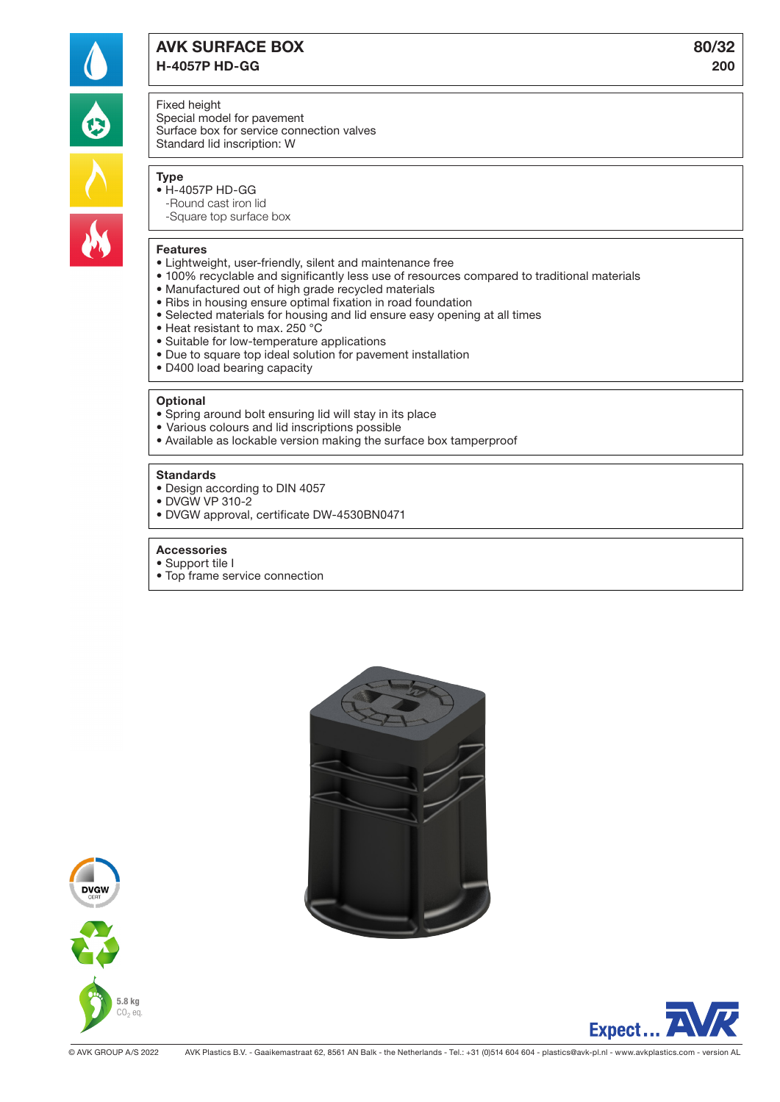

# AVK SURFACE BOX 80/32 H-4057P HD-GG 200

# Fixed height

Special model for pavement Surface box for service connection valves Standard lid inscription: W

# Type

- H-4057P HD-GG -Round cast iron lid
	- -Square top surface box

#### Features

- Lightweight, user-friendly, silent and maintenance free
- 100% recyclable and significantly less use of resources compared to traditional materials
- Manufactured out of high grade recycled materials
- Ribs in housing ensure optimal fixation in road foundation
- Selected materials for housing and lid ensure easy opening at all times
- Heat resistant to max. 250 °C
- Suitable for low-temperature applications
- Due to square top ideal solution for pavement installation
- D400 load bearing capacity

#### **Optional**

- Spring around bolt ensuring lid will stay in its place
- Various colours and lid inscriptions possible
- Available as lockable version making the surface box tamperproof

### **Standards**

- Design according to DIN 4057
- DVGW VP 310-2
- DVGW approval, certificate DW-4530BN0471
- Accessories
- Support tile I
- Top frame service connection